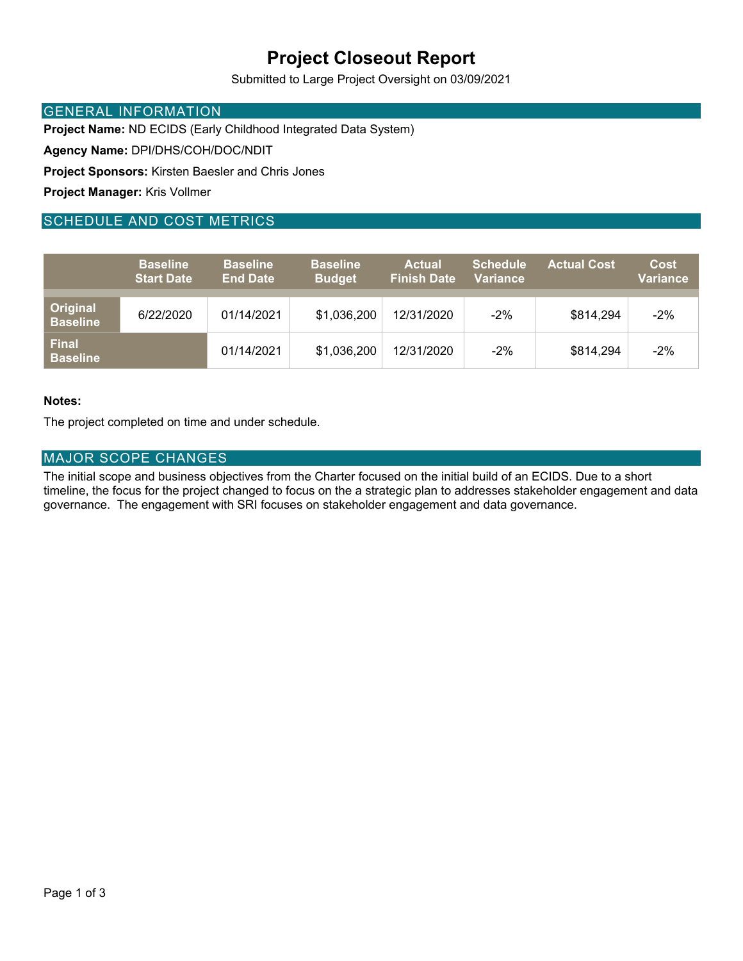## **Project Closeout Report**

Submitted to Large Project Oversight on 03/09/2021

### GENERAL INFORMATION

**Project Name:** ND ECIDS (Early Childhood Integrated Data System)

**Agency Name:** DPI/DHS/COH/DOC/NDIT

**Project Sponsors:** Kirsten Baesler and Chris Jones

**Project Manager:** Kris Vollmer

### SCHEDULE AND COST METRICS

|                                    | <b>Baseline</b><br><b>Start Date</b> | <b>Baseline</b><br><b>End Date</b> | <b>Baseline</b><br><b>Budget</b> | <b>Actual</b><br><b>Finish Date</b> | <b>Schedule</b><br><b>Variance</b> | <b>Actual Cost</b> | <b>Cost</b><br><b>Variance</b> |
|------------------------------------|--------------------------------------|------------------------------------|----------------------------------|-------------------------------------|------------------------------------|--------------------|--------------------------------|
| <b>Original</b><br><b>Baseline</b> | 6/22/2020                            | 01/14/2021                         | \$1,036,200                      | 12/31/2020                          | $-2%$                              | \$814,294          | $-2%$                          |
| <b>Final</b><br><b>Baseline</b>    |                                      | 01/14/2021                         | \$1,036,200                      | 12/31/2020                          | $-2%$                              | \$814,294          | $-2%$                          |

### **Notes:**

The project completed on time and under schedule.

### MAJOR SCOPE CHANGES

The initial scope and business objectives from the Charter focused on the initial build of an ECIDS. Due to a short timeline, the focus for the project changed to focus on the a strategic plan to addresses stakeholder engagement and data governance. The engagement with SRI focuses on stakeholder engagement and data governance.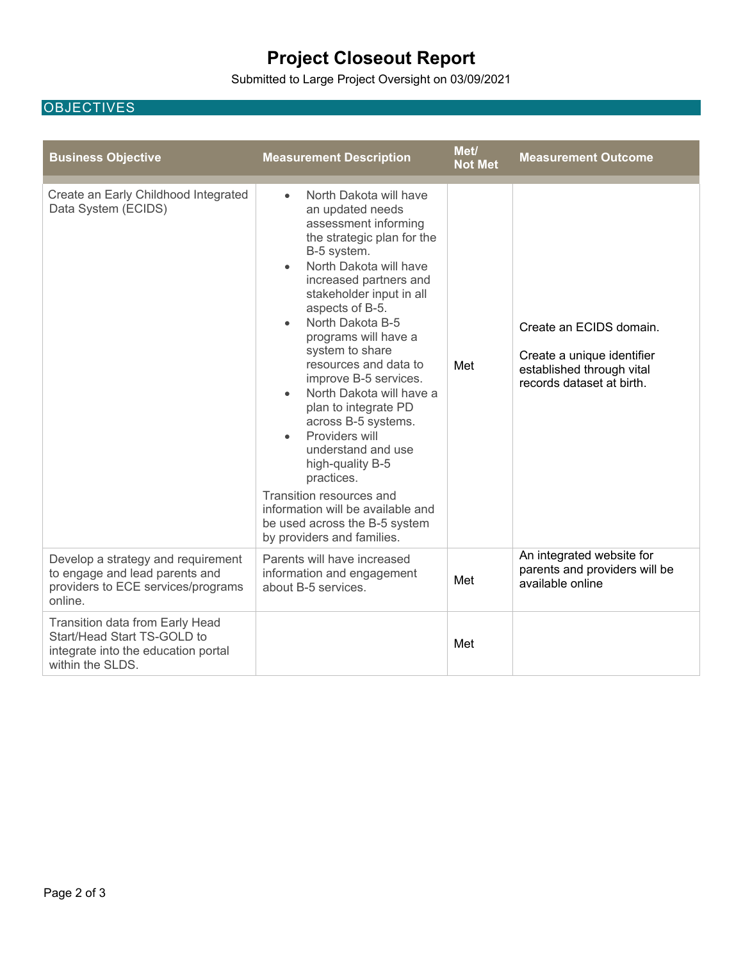# **Project Closeout Report**

Submitted to Large Project Oversight on 03/09/2021

### **OBJECTIVES**

| <b>Business Objective</b>                                                                                                 | <b>Measurement Description</b>                                                                                                                                                                                                                                                                                                                                                                                                                                                                                                                                                                                                                                                            | Met/<br><b>Not Met</b> | <b>Measurement Outcome</b>                                                                                      |
|---------------------------------------------------------------------------------------------------------------------------|-------------------------------------------------------------------------------------------------------------------------------------------------------------------------------------------------------------------------------------------------------------------------------------------------------------------------------------------------------------------------------------------------------------------------------------------------------------------------------------------------------------------------------------------------------------------------------------------------------------------------------------------------------------------------------------------|------------------------|-----------------------------------------------------------------------------------------------------------------|
| Create an Early Childhood Integrated<br>Data System (ECIDS)                                                               | North Dakota will have<br>$\bullet$<br>an updated needs<br>assessment informing<br>the strategic plan for the<br>B-5 system.<br>North Dakota will have<br>$\bullet$<br>increased partners and<br>stakeholder input in all<br>aspects of B-5.<br>North Dakota B-5<br>$\bullet$<br>programs will have a<br>system to share<br>resources and data to<br>improve B-5 services.<br>North Dakota will have a<br>$\bullet$<br>plan to integrate PD<br>across B-5 systems.<br>Providers will<br>$\bullet$<br>understand and use<br>high-quality B-5<br>practices.<br>Transition resources and<br>information will be available and<br>be used across the B-5 system<br>by providers and families. | Met                    | Create an ECIDS domain.<br>Create a unique identifier<br>established through vital<br>records dataset at birth. |
| Develop a strategy and requirement<br>to engage and lead parents and<br>providers to ECE services/programs<br>online.     | Parents will have increased<br>information and engagement<br>about B-5 services.                                                                                                                                                                                                                                                                                                                                                                                                                                                                                                                                                                                                          | Met                    | An integrated website for<br>parents and providers will be<br>available online                                  |
| Transition data from Early Head<br>Start/Head Start TS-GOLD to<br>integrate into the education portal<br>within the SLDS. |                                                                                                                                                                                                                                                                                                                                                                                                                                                                                                                                                                                                                                                                                           | Met                    |                                                                                                                 |